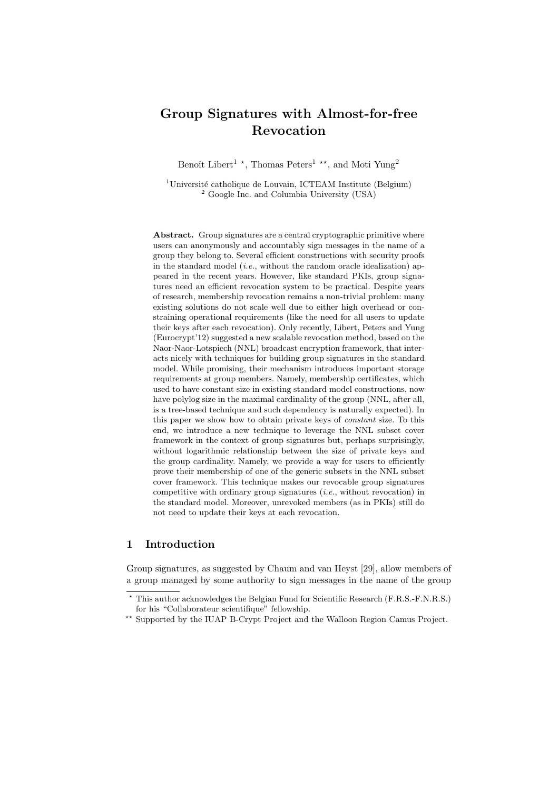# Group Signatures with Almost-for-free Revocation

Benoît Libert<sup>1</sup><sup>\*</sup>, Thomas Peters<sup>1</sup><sup>\*\*</sup>, and Moti Yung<sup>2</sup>

 $1$ Université catholique de Louvain, ICTEAM Institute (Belgium) <sup>2</sup> Google Inc. and Columbia University (USA)

Abstract. Group signatures are a central cryptographic primitive where users can anonymously and accountably sign messages in the name of a group they belong to. Several efficient constructions with security proofs in the standard model *(i.e.*, without the random oracle idealization) appeared in the recent years. However, like standard PKIs, group signatures need an efficient revocation system to be practical. Despite years of research, membership revocation remains a non-trivial problem: many existing solutions do not scale well due to either high overhead or constraining operational requirements (like the need for all users to update their keys after each revocation). Only recently, Libert, Peters and Yung (Eurocrypt'12) suggested a new scalable revocation method, based on the Naor-Naor-Lotspiech (NNL) broadcast encryption framework, that interacts nicely with techniques for building group signatures in the standard model. While promising, their mechanism introduces important storage requirements at group members. Namely, membership certificates, which used to have constant size in existing standard model constructions, now have polylog size in the maximal cardinality of the group (NNL, after all, is a tree-based technique and such dependency is naturally expected). In this paper we show how to obtain private keys of constant size. To this end, we introduce a new technique to leverage the NNL subset cover framework in the context of group signatures but, perhaps surprisingly, without logarithmic relationship between the size of private keys and the group cardinality. Namely, we provide a way for users to efficiently prove their membership of one of the generic subsets in the NNL subset cover framework. This technique makes our revocable group signatures competitive with ordinary group signatures  $(i.e.,$  without revocation) in the standard model. Moreover, unrevoked members (as in PKIs) still do not need to update their keys at each revocation.

# 1 Introduction

Group signatures, as suggested by Chaum and van Heyst [29], allow members of a group managed by some authority to sign messages in the name of the group

<sup>?</sup> This author acknowledges the Belgian Fund for Scientific Research (F.R.S.-F.N.R.S.) for his "Collaborateur scientifique" fellowship.

<sup>\*\*</sup> Supported by the IUAP B-Crypt Project and the Walloon Region Camus Project.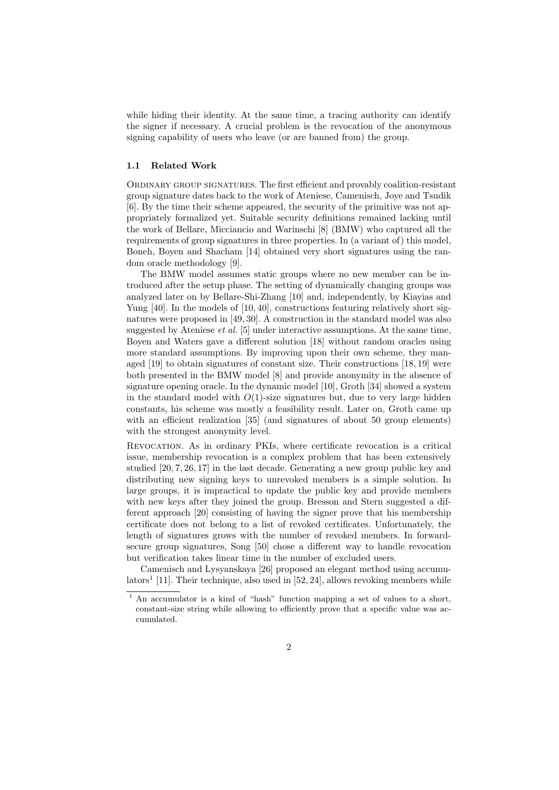while hiding their identity. At the same time, a tracing authority can identify the signer if necessary. A crucial problem is the revocation of the anonymous signing capability of users who leave (or are banned from) the group.

#### 1.1 Related Work

Ordinary group signatures. The first efficient and provably coalition-resistant group signature dates back to the work of Ateniese, Camenisch, Joye and Tsudik [6]. By the time their scheme appeared, the security of the primitive was not appropriately formalized yet. Suitable security definitions remained lacking until the work of Bellare, Micciancio and Warinschi [8] (BMW) who captured all the requirements of group signatures in three properties. In (a variant of) this model, Boneh, Boyen and Shacham [14] obtained very short signatures using the random oracle methodology [9].

The BMW model assumes static groups where no new member can be introduced after the setup phase. The setting of dynamically changing groups was analyzed later on by Bellare-Shi-Zhang [10] and, independently, by Kiayias and Yung [40]. In the models of [10, 40], constructions featuring relatively short signatures were proposed in [49, 30]. A construction in the standard model was also suggested by Ateniese *et al.* [5] under interactive assumptions. At the same time, Boyen and Waters gave a different solution [18] without random oracles using more standard assumptions. By improving upon their own scheme, they managed [19] to obtain signatures of constant size. Their constructions [18, 19] were both presented in the BMW model [8] and provide anonymity in the absence of signature opening oracle. In the dynamic model [10], Groth [34] showed a system in the standard model with  $O(1)$ -size signatures but, due to very large hidden constants, his scheme was mostly a feasibility result. Later on, Groth came up with an efficient realization [35] (and signatures of about 50 group elements) with the strongest anonymity level.

Revocation. As in ordinary PKIs, where certificate revocation is a critical issue, membership revocation is a complex problem that has been extensively studied [20, 7, 26, 17] in the last decade. Generating a new group public key and distributing new signing keys to unrevoked members is a simple solution. In large groups, it is impractical to update the public key and provide members with new keys after they joined the group. Bresson and Stern suggested a different approach [20] consisting of having the signer prove that his membership certificate does not belong to a list of revoked certificates. Unfortunately, the length of signatures grows with the number of revoked members. In forwardsecure group signatures, Song [50] chose a different way to handle revocation but verification takes linear time in the number of excluded users.

Camenisch and Lysyanskaya [26] proposed an elegant method using accumulators<sup>1</sup> [11]. Their technique, also used in [52, 24], allows revoking members while

<sup>&</sup>lt;sup>1</sup> An accumulator is a kind of "hash" function mapping a set of values to a short, constant-size string while allowing to efficiently prove that a specific value was accumulated.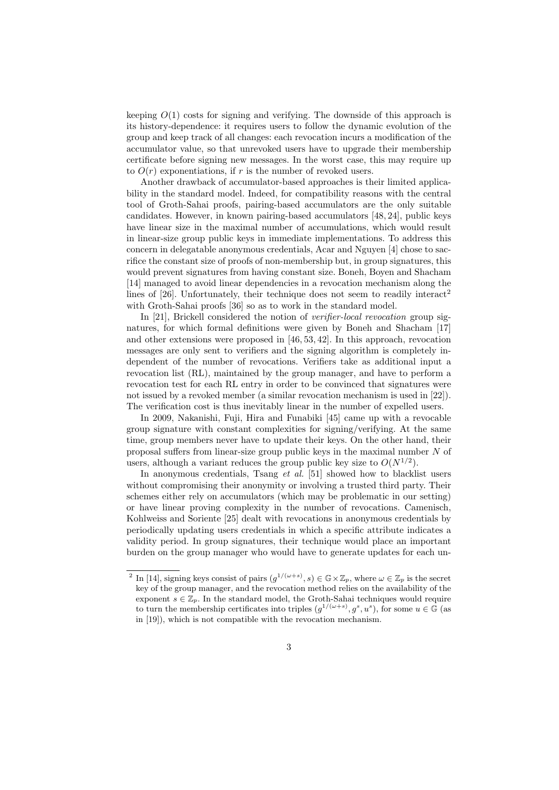keeping  $O(1)$  costs for signing and verifying. The downside of this approach is its history-dependence: it requires users to follow the dynamic evolution of the group and keep track of all changes: each revocation incurs a modification of the accumulator value, so that unrevoked users have to upgrade their membership certificate before signing new messages. In the worst case, this may require up to  $O(r)$  exponentiations, if r is the number of revoked users.

Another drawback of accumulator-based approaches is their limited applicability in the standard model. Indeed, for compatibility reasons with the central tool of Groth-Sahai proofs, pairing-based accumulators are the only suitable candidates. However, in known pairing-based accumulators [48, 24], public keys have linear size in the maximal number of accumulations, which would result in linear-size group public keys in immediate implementations. To address this concern in delegatable anonymous credentials, Acar and Nguyen [4] chose to sacrifice the constant size of proofs of non-membership but, in group signatures, this would prevent signatures from having constant size. Boneh, Boyen and Shacham [14] managed to avoid linear dependencies in a revocation mechanism along the lines of [26]. Unfortunately, their technique does not seem to readily interact<sup>2</sup> with Groth-Sahai proofs [36] so as to work in the standard model.

In [21], Brickell considered the notion of *verifier-local revocation* group signatures, for which formal definitions were given by Boneh and Shacham [17] and other extensions were proposed in [46, 53, 42]. In this approach, revocation messages are only sent to verifiers and the signing algorithm is completely independent of the number of revocations. Verifiers take as additional input a revocation list (RL), maintained by the group manager, and have to perform a revocation test for each RL entry in order to be convinced that signatures were not issued by a revoked member (a similar revocation mechanism is used in [22]). The verification cost is thus inevitably linear in the number of expelled users.

In 2009, Nakanishi, Fuji, Hira and Funabiki [45] came up with a revocable group signature with constant complexities for signing/verifying. At the same time, group members never have to update their keys. On the other hand, their proposal suffers from linear-size group public keys in the maximal number N of users, although a variant reduces the group public key size to  $O(N^{1/2})$ .

In anonymous credentials, Tsang *et al.* [51] showed how to blacklist users without compromising their anonymity or involving a trusted third party. Their schemes either rely on accumulators (which may be problematic in our setting) or have linear proving complexity in the number of revocations. Camenisch, Kohlweiss and Soriente [25] dealt with revocations in anonymous credentials by periodically updating users credentials in which a specific attribute indicates a validity period. In group signatures, their technique would place an important burden on the group manager who would have to generate updates for each un-

<sup>&</sup>lt;sup>2</sup> In [14], signing keys consist of pairs  $(g^{1/(\omega+s)}, s) \in \mathbb{G} \times \mathbb{Z}_p$ , where  $\omega \in \mathbb{Z}_p$  is the secret key of the group manager, and the revocation method relies on the availability of the exponent  $s \in \mathbb{Z}_p$ . In the standard model, the Groth-Sahai techniques would require to turn the membership certificates into triples  $(g^{1/(\omega+s)}, g^s, u^s)$ , for some  $u \in \mathbb{G}$  (as in [19]), which is not compatible with the revocation mechanism.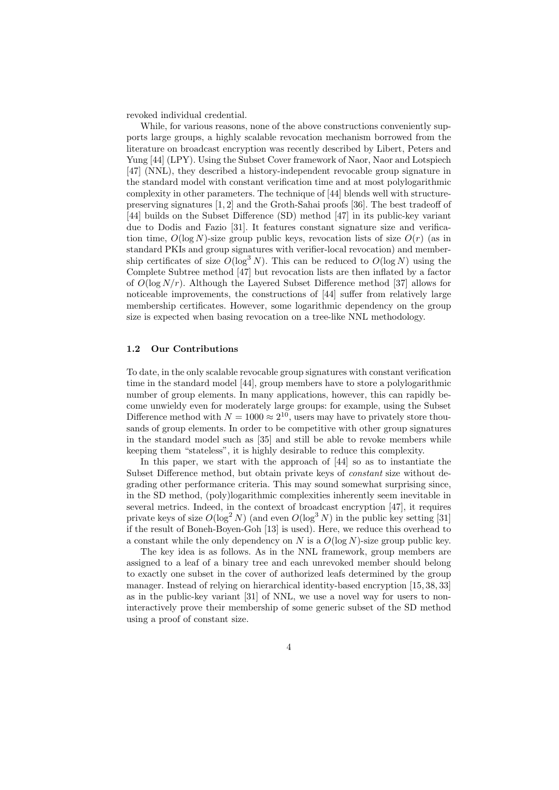revoked individual credential.

While, for various reasons, none of the above constructions conveniently supports large groups, a highly scalable revocation mechanism borrowed from the literature on broadcast encryption was recently described by Libert, Peters and Yung [44] (LPY). Using the Subset Cover framework of Naor, Naor and Lotspiech [47] (NNL), they described a history-independent revocable group signature in the standard model with constant verification time and at most polylogarithmic complexity in other parameters. The technique of [44] blends well with structurepreserving signatures [1, 2] and the Groth-Sahai proofs [36]. The best tradeoff of [44] builds on the Subset Difference (SD) method [47] in its public-key variant due to Dodis and Fazio [31]. It features constant signature size and verification time,  $O(\log N)$ -size group public keys, revocation lists of size  $O(r)$  (as in standard PKIs and group signatures with verifier-local revocation) and membership certificates of size  $O(\log^3 N)$ . This can be reduced to  $O(\log N)$  using the Complete Subtree method [47] but revocation lists are then inflated by a factor of  $O(\log N/r)$ . Although the Layered Subset Difference method [37] allows for noticeable improvements, the constructions of [44] suffer from relatively large membership certificates. However, some logarithmic dependency on the group size is expected when basing revocation on a tree-like NNL methodology.

#### 1.2 Our Contributions

To date, in the only scalable revocable group signatures with constant verification time in the standard model [44], group members have to store a polylogarithmic number of group elements. In many applications, however, this can rapidly become unwieldy even for moderately large groups: for example, using the Subset Difference method with  $N = 1000 \approx 2^{10}$ , users may have to privately store thousands of group elements. In order to be competitive with other group signatures in the standard model such as [35] and still be able to revoke members while keeping them "stateless", it is highly desirable to reduce this complexity.

In this paper, we start with the approach of [44] so as to instantiate the Subset Difference method, but obtain private keys of constant size without degrading other performance criteria. This may sound somewhat surprising since, in the SD method, (poly)logarithmic complexities inherently seem inevitable in several metrics. Indeed, in the context of broadcast encryption [47], it requires private keys of size  $O(\log^2 N)$  (and even  $O(\log^3 N)$  in the public key setting [31] if the result of Boneh-Boyen-Goh [13] is used). Here, we reduce this overhead to a constant while the only dependency on N is a  $O(\log N)$ -size group public key.

The key idea is as follows. As in the NNL framework, group members are assigned to a leaf of a binary tree and each unrevoked member should belong to exactly one subset in the cover of authorized leafs determined by the group manager. Instead of relying on hierarchical identity-based encryption [15, 38, 33] as in the public-key variant [31] of NNL, we use a novel way for users to noninteractively prove their membership of some generic subset of the SD method using a proof of constant size.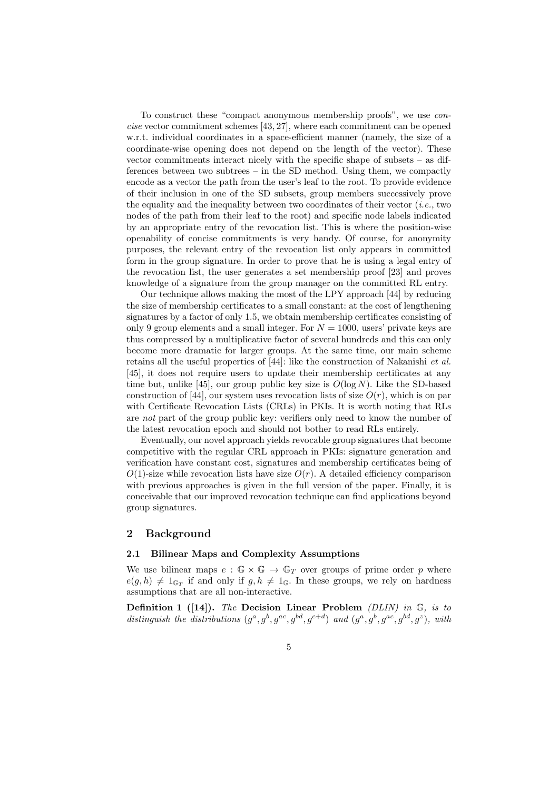To construct these "compact anonymous membership proofs", we use concise vector commitment schemes [43, 27], where each commitment can be opened w.r.t. individual coordinates in a space-efficient manner (namely, the size of a coordinate-wise opening does not depend on the length of the vector). These vector commitments interact nicely with the specific shape of subsets – as differences between two subtrees – in the SD method. Using them, we compactly encode as a vector the path from the user's leaf to the root. To provide evidence of their inclusion in one of the SD subsets, group members successively prove the equality and the inequality between two coordinates of their vector  $(i.e., two$ nodes of the path from their leaf to the root) and specific node labels indicated by an appropriate entry of the revocation list. This is where the position-wise openability of concise commitments is very handy. Of course, for anonymity purposes, the relevant entry of the revocation list only appears in committed form in the group signature. In order to prove that he is using a legal entry of the revocation list, the user generates a set membership proof [23] and proves knowledge of a signature from the group manager on the committed RL entry.

Our technique allows making the most of the LPY approach [44] by reducing the size of membership certificates to a small constant: at the cost of lengthening signatures by a factor of only 1.5, we obtain membership certificates consisting of only 9 group elements and a small integer. For  $N = 1000$ , users' private keys are thus compressed by a multiplicative factor of several hundreds and this can only become more dramatic for larger groups. At the same time, our main scheme retains all the useful properties of [44]: like the construction of Nakanishi et al. [45], it does not require users to update their membership certificates at any time but, unlike [45], our group public key size is  $O(\log N)$ . Like the SD-based construction of [44], our system uses revocation lists of size  $O(r)$ , which is on par with Certificate Revocation Lists (CRLs) in PKIs. It is worth noting that RLs are not part of the group public key: verifiers only need to know the number of the latest revocation epoch and should not bother to read RLs entirely.

Eventually, our novel approach yields revocable group signatures that become competitive with the regular CRL approach in PKIs: signature generation and verification have constant cost, signatures and membership certificates being of  $O(1)$ -size while revocation lists have size  $O(r)$ . A detailed efficiency comparison with previous approaches is given in the full version of the paper. Finally, it is conceivable that our improved revocation technique can find applications beyond group signatures.

### 2 Background

#### 2.1 Bilinear Maps and Complexity Assumptions

We use bilinear maps  $e : \mathbb{G} \times \mathbb{G} \to \mathbb{G}_T$  over groups of prime order p where  $e(g, h) \neq 1_{\mathbb{G}_T}$  if and only if  $g, h \neq 1_{\mathbb{G}}$ . In these groups, we rely on hardness assumptions that are all non-interactive.

**Definition 1** ([14]). The Decision Linear Problem (DLIN) in  $\mathbb{G}$ , is to distinguish the distributions  $(g^a, g^b, g^{ac}, g^{bd}, g^{c+d})$  and  $(g^a, g^b, g^{ac}, g^{bd}, g^z)$ , with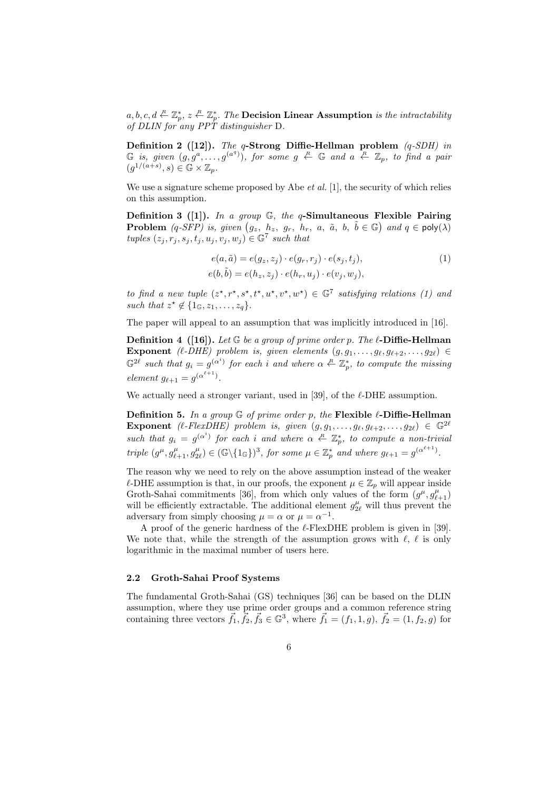$a, b, c, d \stackrel{R}{\leftarrow} \mathbb{Z}_p^*, z \stackrel{R}{\leftarrow} \mathbb{Z}_p^*.$  The Decision Linear Assumption is the intractability of DLIN for any  $PP\hat{T}$  distinguisher D.

Definition 2 ([12]). The q-Strong Diffie-Hellman problem  $(q\text{-}SDH)$  in  $\mathbb G$  is, given  $(g, g^a, \ldots, g^{(a^q)})$ , for some  $g \stackrel{R}{\leftarrow} \mathbb G$  and  $a \stackrel{R}{\leftarrow} \mathbb Z_p$ , to find a pair  $(g^{1/(a+s)}, s) \in \mathbb{G} \times \mathbb{Z}_p.$ 

We use a signature scheme proposed by Abe *et al.* [1], the security of which relies on this assumption.

Definition 3 (11). In a group  $\mathbb{G}$ , the q-Simultaneous Flexible Pairing **Problem**  $(q\text{-}SFP)$  is, given  $(g_z, h_z, g_r, h_r, a, \tilde{a}, b, \tilde{b} \in \mathbb{G})$  and  $q \in \text{poly}(\lambda)$ tuples  $(z_j, r_j, s_j, t_j, u_j, v_j, w_j) \in \mathbb{G}^7$  such that

$$
e(a, \tilde{a}) = e(g_z, z_j) \cdot e(g_r, r_j) \cdot e(s_j, t_j),
$$
  
\n
$$
e(b, \tilde{b}) = e(h_z, z_j) \cdot e(h_r, u_j) \cdot e(v_j, w_j),
$$
\n
$$
(1)
$$

to find a new tuple  $(z^*, r^*, s^*, t^*, u^*, v^*, w^*) \in \mathbb{G}^7$  satisfying relations (1) and such that  $z^* \notin \{1_{\mathbb{G}}, z_1, \ldots, z_q\}.$ 

The paper will appeal to an assumption that was implicitly introduced in [16].

**Definition 4** ([16]). Let G be a group of prime order p. The  $\ell$ -Diffie-Hellman Exponent ( $\ell$ -DHE) problem is, given elements  $(g, g_1, \ldots, g_\ell, g_{\ell+2}, \ldots, g_{2\ell}) \in$  $\mathbb{G}^{2\ell}$  such that  $g_i = g^{(\alpha^i)}$  for each i and where  $\alpha \stackrel{R}{\leftarrow} \mathbb{Z}_p^*$ , to compute the missing element  $g_{\ell+1} = g^{(\alpha^{\ell+1})}$ .

We actually need a stronger variant, used in [39], of the  $\ell$ -DHE assumption.

**Definition 5.** In a group  $\mathbb{G}$  of prime order p, the Flexible  $\ell$ -Diffie-Hellman Exponent ( $\ell$ -FlexDHE) problem is, given  $(g, g_1, \ldots, g_\ell, g_{\ell+2}, \ldots, g_{2\ell}) \in \mathbb{G}^{2\ell}$ such that  $g_i = g^{(\alpha^i)}$  for each i and where  $\alpha \leftarrow \mathbb{Z}_p^*$ , to compute a non-trivial triple  $(g^{\mu}, g^{\mu}_{\ell+1}, g^{\mu}_{2\ell}) \in (\mathbb{G}\backslash {\{1_{\mathbb{G}}\}})^3$ , for some  $\mu \in \mathbb{Z}_p^*$  and where  $g_{\ell+1} = g^{(\alpha^{\ell+1})}$ .

The reason why we need to rely on the above assumption instead of the weaker  $\ell$ -DHE assumption is that, in our proofs, the exponent  $\mu \in \mathbb{Z}_p$  will appear inside Groth-Sahai commitments [36], from which only values of the form  $(g^{\mu}, g^{\mu}_{\ell+1})$ will be efficiently extractable. The additional element  $g_{2\ell}^{\mu}$  will thus prevent the adversary from simply choosing  $\mu = \alpha$  or  $\mu = \alpha^{-1}$ .

A proof of the generic hardness of the  $\ell$ -FlexDHE problem is given in [39]. We note that, while the strength of the assumption grows with  $\ell, \ell$  is only logarithmic in the maximal number of users here.

#### 2.2 Groth-Sahai Proof Systems

The fundamental Groth-Sahai (GS) techniques [36] can be based on the DLIN assumption, where they use prime order groups and a common reference string containing three vectors  $\vec{f}_1, \vec{f}_2, \vec{f}_3 \in \mathbb{G}^3$ , where  $\vec{f}_1 = (f_1, 1, g), \vec{f}_2 = (1, f_2, g)$  for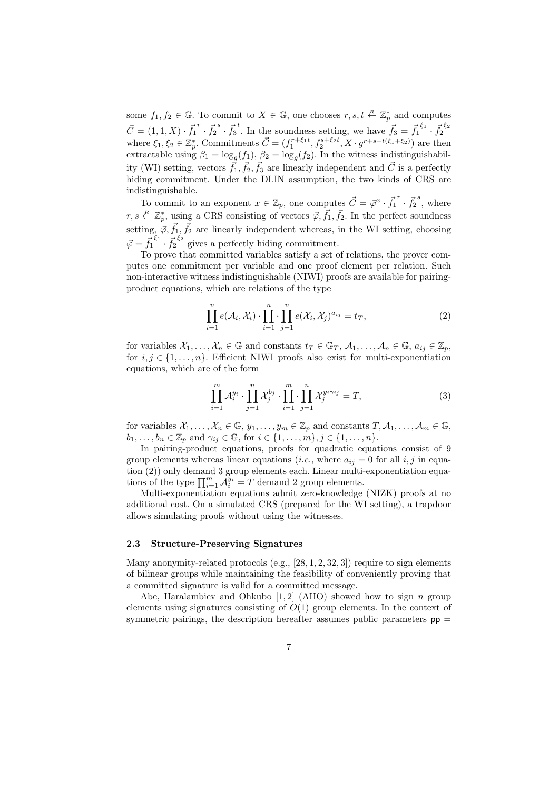some  $f_1, f_2 \in \mathbb{G}$ . To commit to  $X \in \mathbb{G}$ , one chooses  $r, s, t \leftarrow \mathbb{Z}_p^*$  and computes  $\vec{C} = (1, 1, X) \cdot \vec{f_1}^r \cdot \vec{f_2}^s \cdot \vec{f_3}^t$ . In the soundness setting, we have  $\vec{f_3} = \vec{f_1}^{\xi_1} \cdot \vec{f_2}^{\xi_2}$ where  $\xi_1, \xi_2 \in \mathbb{Z}_p^*$ . Commitments  $\vec{C} = (f_1^{r+\xi_1 t}, f_2^{s+\xi_2 t}, X \cdot g^{r+s+t(\xi_1+\xi_2)})$  are then extractable using  $\beta_1 = \log_g(f_1)$ ,  $\beta_2 = \log_g(f_2)$ . In the witness indistinguishability (WI) setting, vectors  $\vec{f}_1, \vec{f}_2, \vec{f}_3$  are linearly independent and  $\vec{C}$  is a perfectly hiding commitment. Under the DLIN assumption, the two kinds of CRS are indistinguishable.

To commit to an exponent  $x \in \mathbb{Z}_p$ , one computes  $\vec{C} = \vec{\varphi}^x \cdot \vec{f_1}^r \cdot \vec{f_2}^s$ , where  $r, s \in \mathbb{Z}_p^*$ , using a CRS consisting of vectors  $\vec{\varphi}, \vec{f}_1, \vec{f}_2$ . In the perfect soundness setting,  $\vec{\varphi}, \vec{f}_1, \vec{f}_2$  are linearly independent whereas, in the WI setting, choosing  $\vec{\varphi} = \vec{f}_1^{\xi_1} \cdot \vec{f}_2^{\xi_2}$  gives a perfectly hiding commitment.

To prove that committed variables satisfy a set of relations, the prover computes one commitment per variable and one proof element per relation. Such non-interactive witness indistinguishable (NIWI) proofs are available for pairingproduct equations, which are relations of the type

$$
\prod_{i=1}^{n} e(\mathcal{A}_i, \mathcal{X}_i) \cdot \prod_{i=1}^{n} \cdot \prod_{j=1}^{n} e(\mathcal{X}_i, \mathcal{X}_j)^{a_{ij}} = t_T,
$$
\n(2)

for variables  $\mathcal{X}_1,\ldots,\mathcal{X}_n\in\mathbb{G}$  and constants  $t_T\in\mathbb{G}_T$ ,  $\mathcal{A}_1,\ldots,\mathcal{A}_n\in\mathbb{G}$ ,  $a_{ij}\in\mathbb{Z}_p$ , for  $i, j \in \{1, \ldots, n\}$ . Efficient NIWI proofs also exist for multi-exponentiation equations, which are of the form

$$
\prod_{i=1}^{m} \mathcal{A}_i^{y_i} \cdot \prod_{j=1}^{n} \mathcal{X}_j^{b_j} \cdot \prod_{i=1}^{m} \cdot \prod_{j=1}^{n} \mathcal{X}_j^{y_i \gamma_{ij}} = T,
$$
\n(3)

for variables  $\mathcal{X}_1,\ldots,\mathcal{X}_n\in\mathbb{G}, y_1,\ldots,y_m\in\mathbb{Z}_p$  and constants  $T,\mathcal{A}_1,\ldots,\mathcal{A}_m\in\mathbb{G},$  $b_1, \ldots, b_n \in \mathbb{Z}_p$  and  $\gamma_{ij} \in \mathbb{G}$ , for  $i \in \{1, \ldots, m\}, j \in \{1, \ldots, n\}.$ 

In pairing-product equations, proofs for quadratic equations consist of 9 group elements whereas linear equations (*i.e.*, where  $a_{ij} = 0$  for all i, j in equation (2)) only demand 3 group elements each. Linear multi-exponentiation equations of the type  $\prod_{i=1}^m \tilde{A}_i^{y_i} = T$  demand 2 group elements.

Multi-exponentiation equations admit zero-knowledge (NIZK) proofs at no additional cost. On a simulated CRS (prepared for the WI setting), a trapdoor allows simulating proofs without using the witnesses.

#### 2.3 Structure-Preserving Signatures

Many anonymity-related protocols (e.g., [28, 1, 2, 32, 3]) require to sign elements of bilinear groups while maintaining the feasibility of conveniently proving that a committed signature is valid for a committed message.

Abe, Haralambiev and Ohkubo  $[1, 2]$  (AHO) showed how to sign n group elements using signatures consisting of  $O(1)$  group elements. In the context of symmetric pairings, the description hereafter assumes public parameters  $pp =$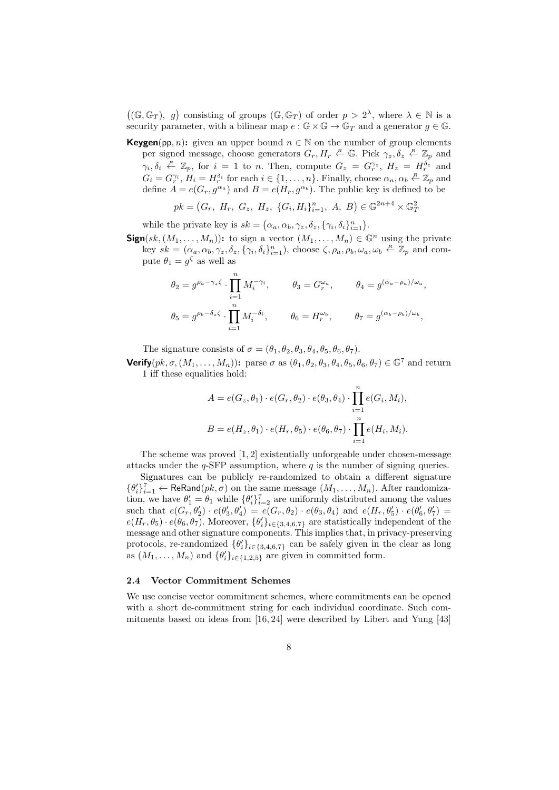$((\mathbb{G}, \mathbb{G}_T), g)$  consisting of groups  $(\mathbb{G}, \mathbb{G}_T)$  of order  $p > 2^{\lambda}$ , where  $\lambda \in \mathbb{N}$  is a security parameter, with a bilinear map  $e : \mathbb{G} \times \mathbb{G} \to \mathbb{G}_T$  and a generator  $g \in \mathbb{G}$ .

**Keygen**(pp, n): given an upper bound  $n \in \mathbb{N}$  on the number of group elements per signed message, choose generators  $G_r, H_r \stackrel{R}{\leftarrow} \mathbb{G}$ . Pick  $\gamma_z, \delta_z \stackrel{R}{\leftarrow} \mathbb{Z}_p$  and  $\gamma_i, \delta_i \stackrel{R}{\leftarrow} \mathbb{Z}_p$ , for  $i = 1$  to n. Then, compute  $G_z = G_r^{\gamma_z}$ ,  $H_z = H_r^{\delta_z}$  and  $G_i = G_i^{\gamma_i}, H_i = H_i^{\delta_i}$  for each  $i \in \{1, ..., n\}$ . Finally, choose  $\alpha_a, \alpha_b \stackrel{R}{\leftarrow} \mathbb{Z}_p$  and define  $A = e(G_r, g^{\alpha_a})$  and  $B = e(H_r, g^{\alpha_b})$ . The public key is defined to be

$$
pk = (G_r, H_r, G_z, H_z, \{G_i, H_i\}_{i=1}^n, A, B) \in \mathbb{G}^{2n+4} \times \mathbb{G}_T^2
$$

while the private key is  $sk = (\alpha_a, \alpha_b, \gamma_z, \delta_z, {\gamma_i, \delta_i}_{i=1}^n)$ .

 $Sign(sk,(M_1,\ldots,M_n))$ : to sign a vector  $(M_1,\ldots,M_n) \in \mathbb{G}^n$  using the private key  $sk = (\alpha_a, \alpha_b, \gamma_z, \delta_z, \{\gamma_i, \delta_i\}_{i=1}^n)$ , choose  $\zeta, \rho_a, \rho_b, \omega_a, \omega_b \stackrel{R}{\leftarrow} \mathbb{Z}_p$  and compute  $\theta_1 = g^{\zeta}$  as well as

$$
\theta_2 = g^{\rho_a - \gamma_z \zeta} \cdot \prod_{i=1}^n M_i^{-\gamma_i}, \qquad \theta_3 = G_r^{\omega_a}, \qquad \theta_4 = g^{(\alpha_a - \rho_a)/\omega_a},
$$
  

$$
\theta_5 = g^{\rho_b - \delta_z \zeta} \cdot \prod_{i=1}^n M_i^{-\delta_i}, \qquad \theta_6 = H_r^{\omega_b}, \qquad \theta_7 = g^{(\alpha_b - \rho_b)/\omega_b},
$$

The signature consists of  $\sigma = (\theta_1, \theta_2, \theta_3, \theta_4, \theta_5, \theta_6, \theta_7)$ . **Verify** $(pk, \sigma,(M_1,\ldots,M_n))$ : parse  $\sigma$  as  $(\theta_1,\theta_2,\theta_3,\theta_4,\theta_5,\theta_6,\theta_7) \in \mathbb{G}^7$  and return

1 iff these equalities hold:

$$
A = e(G_z, \theta_1) \cdot e(G_r, \theta_2) \cdot e(\theta_3, \theta_4) \cdot \prod_{i=1}^n e(G_i, M_i),
$$
  

$$
B = e(H_z, \theta_1) \cdot e(H_r, \theta_5) \cdot e(\theta_6, \theta_7) \cdot \prod_{i=1}^n e(H_i, M_i).
$$

The scheme was proved [1, 2] existentially unforgeable under chosen-message attacks under the  $q$ -SFP assumption, where  $q$  is the number of signing queries.

Signatures can be publicly re-randomized to obtain a different signature  $\{\theta_i'\}_{i=1}^7$   $\leftarrow$  ReRand $(pk, \sigma)$  on the same message  $(M_1, \ldots, M_n)$ . After randomization, we have  $\theta_1' = \theta_1$  while  $\{\theta_i'\}_{i=2}^7$  are uniformly distributed among the values such that  $e(G_r, \theta'_2) \cdot e(\theta'_3, \theta'_4) = e(G_r, \theta_2) \cdot e(\theta_3, \theta_4)$  and  $e(H_r, \theta'_5) \cdot e(\theta'_6, \theta'_7) =$  $e(H_r, \theta_5) \cdot e(\theta_6, \theta_7)$ . Moreover,  $\{\theta'_i\}_{i \in \{3,4,6,7\}}$  are statistically independent of the message and other signature components. This implies that, in privacy-preserving protocols, re-randomized  $\{\theta'_i\}_{i\in\{3,4,6,7\}}$  can be safely given in the clear as long as  $(M_1, \ldots, M_n)$  and  $\{\theta_i'\}_{i \in \{1,2,5\}}$  are given in committed form.

#### 2.4 Vector Commitment Schemes

We use concise vector commitment schemes, where commitments can be opened with a short de-commitment string for each individual coordinate. Such commitments based on ideas from [16, 24] were described by Libert and Yung [43]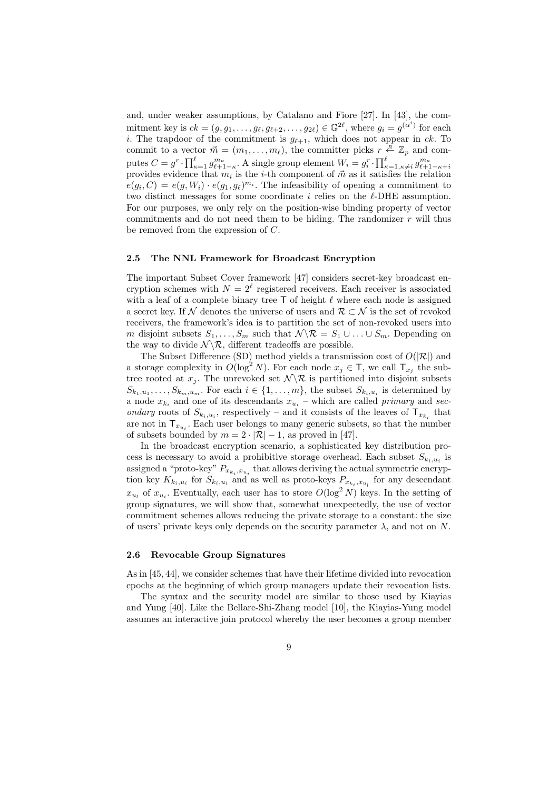and, under weaker assumptions, by Catalano and Fiore [27]. In [43], the commitment key is  $ck = (g, g_1, \ldots, g_\ell, g_{\ell+2}, \ldots, g_{2\ell}) \in \mathbb{G}^{2\ell}$ , where  $g_i = g^{(\alpha^i)}$  for each i. The trapdoor of the commitment is  $g_{\ell+1}$ , which does not appear in ck. To commit to a vector  $\vec{m} = (m_1, \ldots, m_\ell)$ , the committer picks  $r \stackrel{R}{\leftarrow} \mathbb{Z}_p$  and computes  $C = g^r \cdot \prod_{\kappa=1}^{\ell} g_{\ell+1-\kappa}^{m_{\kappa}}$ . A single group element  $W_i = g_i^r \cdot \prod_{\kappa=1,\kappa\neq i}^{\ell} g_{\ell+1-\kappa+i}^{m_{\kappa}}$ provides evidence that  $m_i$  is the *i*-th component of  $\vec{m}$  as it satisfies the relation  $e(g_i, C) = e(g, W_i) \cdot e(g_1, g_2)^{m_i}$ . The infeasibility of opening a commitment to two distinct messages for some coordinate i relies on the  $\ell$ -DHE assumption. For our purposes, we only rely on the position-wise binding property of vector commitments and do not need them to be hiding. The randomizer  $r$  will thus be removed from the expression of C.

#### 2.5 The NNL Framework for Broadcast Encryption

The important Subset Cover framework [47] considers secret-key broadcast encryption schemes with  $N = 2^{\ell}$  registered receivers. Each receiver is associated with a leaf of a complete binary tree  $\mathsf T$  of height  $\ell$  where each node is assigned a secret key. If N denotes the universe of users and  $\mathcal{R} \subset \mathcal{N}$  is the set of revoked receivers, the framework's idea is to partition the set of non-revoked users into m disjoint subsets  $S_1, \ldots, S_m$  such that  $\mathcal{N} \setminus \mathcal{R} = S_1 \cup \ldots \cup S_m$ . Depending on the way to divide  $\mathcal{N} \backslash \mathcal{R}$ , different tradeoffs are possible.

The Subset Difference (SD) method yields a transmission cost of  $O(|\mathcal{R}|)$  and a storage complexity in  $O(\log^2 N)$ . For each node  $x_j \in \mathsf{T}$ , we call  $\mathsf{T}_{x_j}$  the subtree rooted at  $x_j$ . The unrevoked set  $\mathcal{N} \backslash \mathcal{R}$  is partitioned into disjoint subsets  $S_{k_1, u_1}, \ldots, S_{k_m, u_m}$ . For each  $i \in \{1, \ldots, m\}$ , the subset  $S_{k_i, u_i}$  is determined by a node  $x_{k_i}$  and one of its descendants  $x_{u_i}$  – which are called *primary* and *sec*ondary roots of  $S_{k_i, u_i}$ , respectively – and it consists of the leaves of  $\mathsf{T}_{x_{k_i}}$  that are not in  $\mathsf{T}_{x_{u_i}}$ . Each user belongs to many generic subsets, so that the number of subsets bounded by  $m = 2 \cdot |\mathcal{R}| - 1$ , as proved in [47].

In the broadcast encryption scenario, a sophisticated key distribution process is necessary to avoid a prohibitive storage overhead. Each subset  $S_{k_i, u_i}$  is assigned a "proto-key"  $P_{x_{k_i},x_{u_i}}$  that allows deriving the actual symmetric encryption key  $K_{k_i, u_i}$  for  $S_{k_i, u_i}$  and as well as proto-keys  $P_{x_{k_i}, x_{u_i}}$  for any descendant  $x_{u_l}$  of  $x_{u_i}$ . Eventually, each user has to store  $O(\log^2 N)$  keys. In the setting of group signatures, we will show that, somewhat unexpectedly, the use of vector commitment schemes allows reducing the private storage to a constant: the size of users' private keys only depends on the security parameter  $\lambda$ , and not on N.

#### 2.6 Revocable Group Signatures

As in [45, 44], we consider schemes that have their lifetime divided into revocation epochs at the beginning of which group managers update their revocation lists.

The syntax and the security model are similar to those used by Kiayias and Yung [40]. Like the Bellare-Shi-Zhang model [10], the Kiayias-Yung model assumes an interactive join protocol whereby the user becomes a group member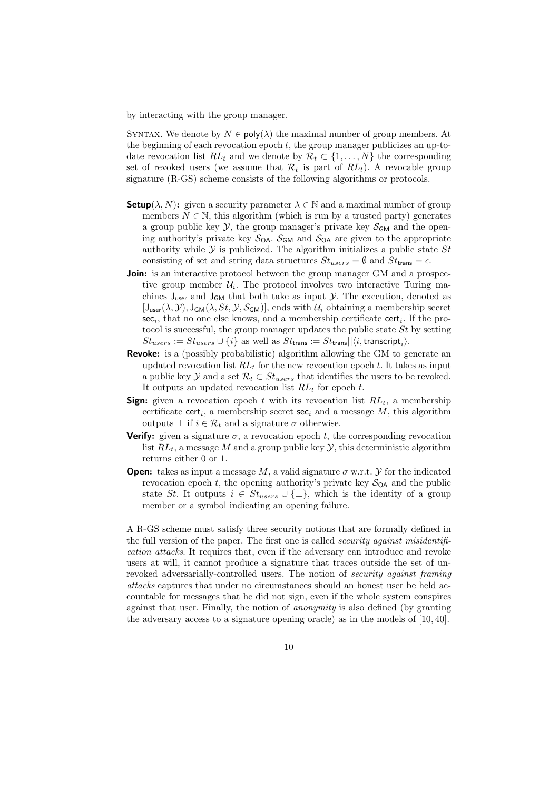by interacting with the group manager.

SYNTAX. We denote by  $N \in \text{poly}(\lambda)$  the maximal number of group members. At the beginning of each revocation epoch  $t$ , the group manager publicizes an up-todate revocation list  $RL_t$  and we denote by  $\mathcal{R}_t \subset \{1, \ldots, N\}$  the corresponding set of revoked users (we assume that  $\mathcal{R}_t$  is part of  $RL_t$ ). A revocable group signature (R-GS) scheme consists of the following algorithms or protocols.

- **Setup**( $\lambda$ , N): given a security parameter  $\lambda \in \mathbb{N}$  and a maximal number of group members  $N \in \mathbb{N}$ , this algorithm (which is run by a trusted party) generates a group public key  $\mathcal{Y}$ , the group manager's private key  $\mathcal{S}_{GM}$  and the opening authority's private key  $S_{OA}$ .  $S_{GM}$  and  $S_{OA}$  are given to the appropriate authority while  $Y$  is publicized. The algorithm initializes a public state  $St$ consisting of set and string data structures  $St_{users} = \emptyset$  and  $St_{trans} = \epsilon$ .
- **Join:** is an interactive protocol between the group manager GM and a prospective group member  $\mathcal{U}_i$ . The protocol involves two interactive Turing machines  $J_{user}$  and  $J_{GM}$  that both take as input  $\mathcal{Y}$ . The execution, denoted as  $[J_{user}(\lambda, \mathcal{Y}), J_{GM}(\lambda, St, \mathcal{Y}, \mathcal{S}_{GM})]$ , ends with  $\mathcal{U}_i$  obtaining a membership secret  $sec_i$ , that no one else knows, and a membership certificate cert<sub>i</sub>. If the protocol is successful, the group manager updates the public state  $St$  by setting  $St_{users} := St_{users} \cup \{i\}$  as well as  $St_{\sf trans} := St_{\sf trans} || \langle i, {\sf transcript}_i \rangle.$
- Revoke: is a (possibly probabilistic) algorithm allowing the GM to generate an updated revocation list  $RL<sub>t</sub>$  for the new revocation epoch t. It takes as input a public key Y and a set  $\mathcal{R}_t \subset St_{users}$  that identifies the users to be revoked. It outputs an updated revocation list  $RL_t$  for epoch t.
- **Sign:** given a revocation epoch t with its revocation list  $RL_t$ , a membership certificate cert<sub>i</sub>, a membership secret sec<sub>i</sub> and a message  $M$ , this algorithm outputs  $\bot$  if  $i \in \mathcal{R}_t$  and a signature  $\sigma$  otherwise.
- **Verify:** given a signature  $\sigma$ , a revocation epoch t, the corresponding revocation list  $RL_t$ , a message M and a group public key  $\mathcal{Y}$ , this deterministic algorithm returns either 0 or 1.
- **Open:** takes as input a message M, a valid signature  $\sigma$  w.r.t.  $\mathcal Y$  for the indicated revocation epoch t, the opening authority's private key  $S_{OA}$  and the public state St. It outputs  $i \in St_{users} \cup {\{\perp\}}$ , which is the identity of a group member or a symbol indicating an opening failure.

A R-GS scheme must satisfy three security notions that are formally defined in the full version of the paper. The first one is called *security against misidentifi*cation attacks. It requires that, even if the adversary can introduce and revoke users at will, it cannot produce a signature that traces outside the set of unrevoked adversarially-controlled users. The notion of security against framing attacks captures that under no circumstances should an honest user be held accountable for messages that he did not sign, even if the whole system conspires against that user. Finally, the notion of anonymity is also defined (by granting the adversary access to a signature opening oracle) as in the models of [10, 40].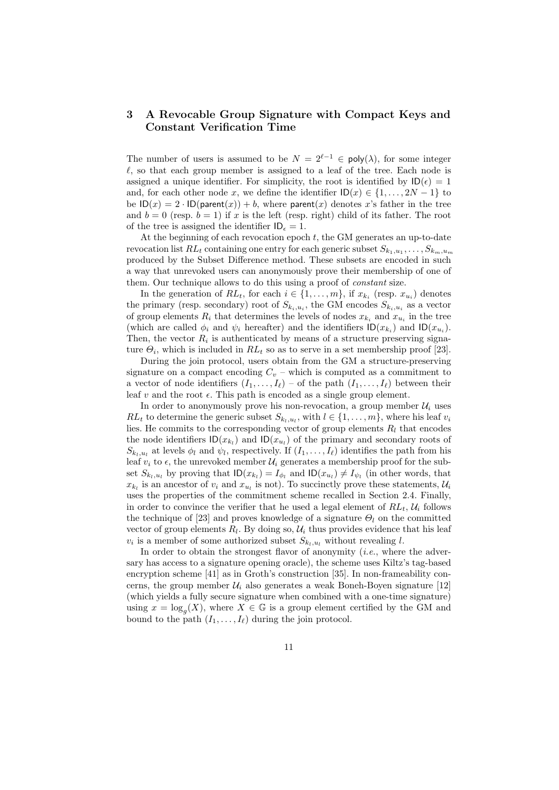## 3 A Revocable Group Signature with Compact Keys and Constant Verification Time

The number of users is assumed to be  $N = 2^{\ell-1} \in \text{poly}(\lambda)$ , for some integer  $\ell$ , so that each group member is assigned to a leaf of the tree. Each node is assigned a unique identifier. For simplicity, the root is identified by  $\mathsf{ID}(\epsilon) = 1$ and, for each other node x, we define the identifier  $ID(x) \in \{1, \ldots, 2N-1\}$  to be  $ID(x) = 2 \cdot ID(parent(x)) + b$ , where parent(x) denotes x's father in the tree and  $b = 0$  (resp.  $b = 1$ ) if x is the left (resp. right) child of its father. The root of the tree is assigned the identifier  $ID_{\epsilon} = 1$ .

At the beginning of each revocation epoch  $t$ , the GM generates an up-to-date revocation list  $RL_t$  containing one entry for each generic subset  $S_{k_1, u_1}, \ldots, S_{k_m, u_m}$ produced by the Subset Difference method. These subsets are encoded in such a way that unrevoked users can anonymously prove their membership of one of them. Our technique allows to do this using a proof of constant size.

In the generation of  $RL_t$ , for each  $i \in \{1, \ldots, m\}$ , if  $x_{k_i}$  (resp.  $x_{u_i}$ ) denotes the primary (resp. secondary) root of  $S_{k_i, u_i}$ , the GM encodes  $S_{k_i, u_i}$  as a vector of group elements  $R_i$  that determines the levels of nodes  $x_{k_i}$  and  $x_{u_i}$  in the tree (which are called  $\phi_i$  and  $\psi_i$  hereafter) and the identifiers  $\mathsf{ID}(x_{k_i})$  and  $\mathsf{ID}(x_{u_i})$ . Then, the vector  $R_i$  is authenticated by means of a structure preserving signature  $\Theta_i$ , which is included in  $RL_t$  so as to serve in a set membership proof [23].

During the join protocol, users obtain from the GM a structure-preserving signature on a compact encoding  $C_v$  – which is computed as a commitment to a vector of node identifiers  $(I_1, \ldots, I_\ell)$  – of the path  $(I_1, \ldots, I_\ell)$  between their leaf v and the root  $\epsilon$ . This path is encoded as a single group element.

In order to anonymously prove his non-revocation, a group member  $\mathcal{U}_i$  uses  $RL_t$  to determine the generic subset  $S_{k_l, u_l}$ , with  $l \in \{1, \ldots, m\}$ , where his leaf  $v_i$ lies. He commits to the corresponding vector of group elements  $R_l$  that encodes the node identifiers  $\mathsf{ID}(x_{k_l})$  and  $\mathsf{ID}(x_{u_l})$  of the primary and secondary roots of  $S_{k_l, u_l}$  at levels  $\phi_l$  and  $\psi_l$ , respectively. If  $(I_1, \ldots, I_\ell)$  identifies the path from his leaf  $v_i$  to  $\epsilon$ , the unrevoked member  $\mathcal{U}_i$  generates a membership proof for the subset  $S_{k_l, u_l}$  by proving that  $\mathsf{ID}(x_{k_l}) = I_{\phi_l}$  and  $\mathsf{ID}(x_{u_l}) \neq I_{\psi_l}$  (in other words, that  $x_{k_l}$  is an ancestor of  $v_i$  and  $x_{u_l}$  is not). To succinctly prove these statements,  $\mathcal{U}_i$ uses the properties of the commitment scheme recalled in Section 2.4. Finally, in order to convince the verifier that he used a legal element of  $RL_t$ ,  $U_i$  follows the technique of [23] and proves knowledge of a signature  $\Theta_l$  on the committed vector of group elements  $R_l$ . By doing so,  $\mathcal{U}_i$  thus provides evidence that his leaf  $v_i$  is a member of some authorized subset  $S_{k_l, u_l}$  without revealing l.

In order to obtain the strongest flavor of anonymity  $(i.e.,$  where the adversary has access to a signature opening oracle), the scheme uses Kiltz's tag-based encryption scheme [41] as in Groth's construction [35]. In non-frameability concerns, the group member  $\mathcal{U}_i$  also generates a weak Boneh-Boyen signature [12] (which yields a fully secure signature when combined with a one-time signature) using  $x = \log_g(X)$ , where  $X \in \mathbb{G}$  is a group element certified by the GM and bound to the path  $(I_1, \ldots, I_\ell)$  during the join protocol.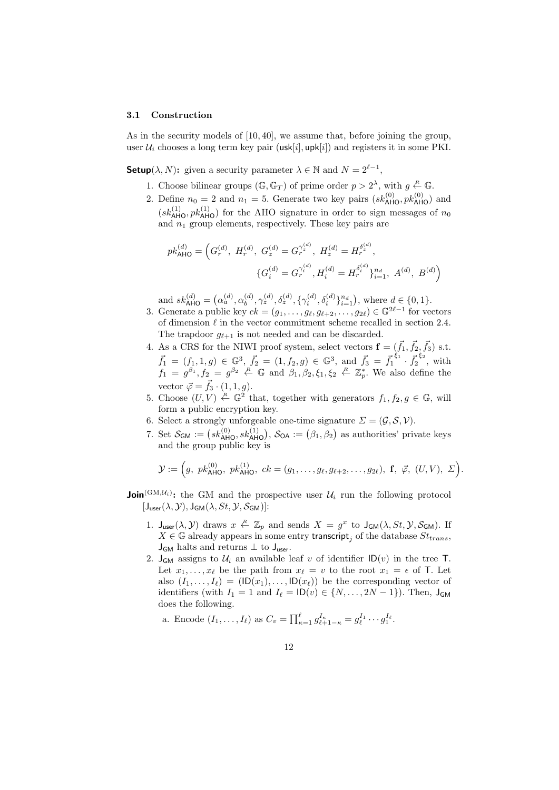#### 3.1 Construction

As in the security models of [10, 40], we assume that, before joining the group, user  $\mathcal{U}_i$  chooses a long term key pair (usk[i], upk[i]) and registers it in some PKI.

**Setup**( $\lambda, N$ ): given a security parameter  $\lambda \in \mathbb{N}$  and  $N = 2^{\ell-1}$ ,

- 1. Choose bilinear groups  $(\mathbb{G}, \mathbb{G}_T)$  of prime order  $p > 2^{\lambda}$ , with  $g \stackrel{R}{\leftarrow} \mathbb{G}$ .
- 2. Define  $n_0 = 2$  and  $n_1 = 5$ . Generate two key pairs  $(s k_{\text{AHO}}^{(0)}, p k_{\text{AHO}}^{(0)})$  and  $(s k_{\text{AHO}}^{(1)}, p k_{\text{AHO}}^{(1)})$  for the AHO signature in order to sign messages of  $n_0$ and  $n_1$  group elements, respectively. These key pairs are

$$
pk_{\mathsf{AHO}}^{(d)} = \left( G_r^{(d)}, H_r^{(d)}, G_z^{(d)} = G_r^{\gamma_z^{(d)}}, H_z^{(d)} = H_r^{\delta_z^{(d)}},
$$

$$
\{ G_i^{(d)} = G_r^{\gamma_i^{(d)}}, H_i^{(d)} = H_r^{\delta_i^{(d)}} \}_{i=1}^n, A^{(d)}, B^{(d)} \right)
$$

and  $sk_{\mathsf{AHO}}^{(d)} = (\alpha_a^{(d)}, \alpha_b^{(d)})$  $\mathcal{L}_{b}^{(d)}, \gamma_{z}^{(d)}, \delta_{z}^{(d)}, \{\gamma_{i}^{(d)}, \delta_{i}^{(d)}\}_{i=1}^{n_d}),$  where  $d \in \{0, 1\}.$ 

- 3. Generate a public key  $ck = (g_1, \ldots, g_\ell, g_{\ell+2}, \ldots, g_{2\ell}) \in \mathbb{G}^{2\ell-1}$  for vectors of dimension  $\ell$  in the vector commitment scheme recalled in section 2.4. The trapdoor  $q_{\ell+1}$  is not needed and can be discarded.
- 4. As a CRS for the NIWI proof system, select vectors  $\mathbf{f} = (\vec{f}_1, \vec{f}_2, \vec{f}_3)$  s.t.  $\vec{f}_1 = (f_1, 1, g) \in \mathbb{G}^3$ ,  $\vec{f}_2 = (1, f_2, g) \in \mathbb{G}^3$ , and  $\vec{f}_3 = \vec{f}_1^{5}$ ,  $\vec{f}_2^{5}$ , with  $f_1 = g^{\beta_1}, f_2 = g^{\beta_2} \stackrel{R}{\leftarrow} \mathbb{G}$  and  $\beta_1, \beta_2, \xi_1, \xi_2 \stackrel{R}{\leftarrow} \mathbb{Z}_p^*$ . We also define the vector  $\vec{\varphi} = \vec{f}_3 \cdot (1, 1, q).$
- 5. Choose  $(U, V) \stackrel{R}{\leftarrow} \mathbb{G}^2$  that, together with generators  $f_1, f_2, g \in \mathbb{G}$ , will form a public encryption key.
- 6. Select a strongly unforgeable one-time signature  $\Sigma = (\mathcal{G}, \mathcal{S}, \mathcal{V})$ .
- 7. Set  $S_{GM} := (sk_{AHO}^{(0)}, sk_{AHO}^{(1)}), S_{OA} := (\beta_1, \beta_2)$  as authorities' private keys and the group public key is

$$
\mathcal{Y} := \left(g, \ p k_{\text{AHO}}^{(0)}, \ p k_{\text{AHO}}^{(1)}, \ ck = (g_1, \ldots, g_\ell, g_{\ell+2}, \ldots, g_{2\ell}), \ \mathbf{f}, \ \vec{\varphi}, \ (U, V), \ \Sigma\right).
$$

- **Join**<sup>(GM, $\mathcal{U}_i$ ): the GM and the prospective user  $\mathcal{U}_i$  run the following protocol</sup>  $[J_{user}(\lambda, \mathcal{Y}), J_{GM}(\lambda, St, \mathcal{Y}, \mathcal{S}_{GM})]$ :
	- 1.  $J_{user}(\lambda, \mathcal{Y})$  draws  $x \stackrel{R}{\leftarrow} \mathbb{Z}_p$  and sends  $X = g^x$  to  $J_{GM}(\lambda, St, \mathcal{Y}, \mathcal{S}_{GM})$ . If  $X \in \mathbb{G}$  already appears in some entry transcript, of the database  $St_{trans}$ ,  $J_{GM}$  halts and returns  $\perp$  to  $J_{user}$ .
	- 2.  $J_{GM}$  assigns to  $U_i$  an available leaf v of identifier  $ID(v)$  in the tree T. Let  $x_1, \ldots, x_\ell$  be the path from  $x_\ell = v$  to the root  $x_1 = \epsilon$  of T. Let also  $(I_1, \ldots, I_\ell) = (ID(x_1), \ldots, ID(x_\ell))$  be the corresponding vector of identifiers (with  $I_1 = 1$  and  $I_\ell = \mathsf{ID}(v) \in \{N, \ldots, 2N - 1\}$ ). Then,  $J_{GM}$ does the following.

a. Encode 
$$
(I_1, ..., I_\ell)
$$
 as  $C_v = \prod_{\kappa=1}^{\ell} g_{\ell+1-\kappa}^{I_{\kappa}} = g_{\ell}^{I_1} \cdots g_1^{I_{\ell}}.$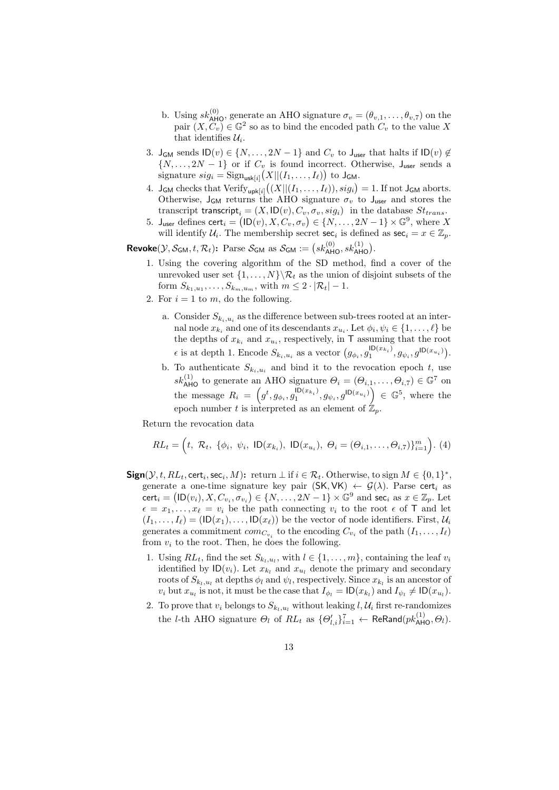- b. Using  $sk_{\text{AHO}}^{(0)}$ , generate an AHO signature  $\sigma_v = (\theta_{v,1}, \ldots, \theta_{v,7})$  on the pair  $(X, C_v) \in \mathbb{G}^2$  so as to bind the encoded path  $C_v$  to the value X that identifies  $\mathcal{U}_i$ .
- 3. J<sub>GM</sub> sends  $ID(v) \in \{N, \ldots, 2N-1\}$  and  $C_v$  to J<sub>user</sub> that halts if  $ID(v) \notin$  $\{N, \ldots, 2N-1\}$  or if  $C_v$  is found incorrect. Otherwise,  $J_{user}$  sends a signature  $sig_i = \text{Sign}_{\text{usk}[i]}(X|| (I_1, \ldots, I_\ell))$  to  $J_{\text{GM}}$ .
- 4.  $\mathsf{J}_{\mathsf{GM}}$  checks that  $\text{Verify}_{\mathsf{upk}[i]}((X|| (I_1, \ldots, I_\ell)), sig_i) = 1.$  If not  $\mathsf{J}_{\mathsf{GM}}$  aborts. Otherwise,  $J_{GM}$  returns the AHO signature  $\sigma_v$  to  $J_{user}$  and stores the transcript transcript<sub>i</sub> =  $(X, \mathsf{ID}(v), C_v, \sigma_v, sig_i)$  in the database  $St_{trans}$ .
- 5. J<sub>user</sub> defines cert<sub>i</sub> =  $(1D(v), X, C_v, \sigma_v) \in \{N, \ldots, 2N-1\} \times \mathbb{G}^9$ , where X will identify  $\mathcal{U}_i$ . The membership secret sec<sub>i</sub> is defined as sec<sub>i</sub> =  $x \in \mathbb{Z}_p$ .

**Revoke**( $\mathcal{Y}, \mathcal{S}_{GM}, t, \mathcal{R}_t$ ): Parse  $\mathcal{S}_{GM}$  as  $\mathcal{S}_{GM} := (sk_{\text{AHO}}^{(0)}, sk_{\text{AHO}}^{(1)})$ .

- 1. Using the covering algorithm of the SD method, find a cover of the unrevoked user set  $\{1, \ldots, N\} \backslash \mathcal{R}_t$  as the union of disjoint subsets of the form  $S_{k_1, u_1}, \ldots, S_{k_m, u_m}$ , with  $m \leq 2 \cdot |\mathcal{R}_t| - 1$ .
- 2. For  $i = 1$  to m, do the following.
	- a. Consider  $S_{k_i,u_i}$  as the difference between sub-trees rooted at an internal node  $x_{k_i}$  and one of its descendants  $x_{u_i}$ . Let  $\phi_i, \psi_i \in \{1, \ldots, \ell\}$  be the depths of  $x_{k_i}$  and  $x_{u_i}$ , respectively, in T assuming that the root  $\epsilon$  is at depth 1. Encode  $S_{k_i, u_i}$  as a vector  $(g_{\phi_i}, g_1^{\mathsf{ID}(x_{k_i})})$  $g_{\psi_i}, g^{\text{ID}(x_{u_i})}, g_{\psi_i}, g^{\text{ID}(x_{u_i})}.$
	- b. To authenticate  $S_{k_i, u_i}$  and bind it to the revocation epoch t, use  $sk_{\text{AHO}}^{(1)}$  to generate an AHO signature  $\Theta_i = (\Theta_{i,1}, \ldots, \Theta_{i,7}) \in \mathbb{G}^7$  on the message  $R_i = \left( g^t, g_{\phi_i}, g_1^{\mathsf{ID}(x_{k_i})} \right)$  $\left( \sum_{i=1}^{\mathsf{ID}(x_{k_i})} g_{\psi_i}, g^{\mathsf{ID}(x_{u_i})} \right) \in \mathbb{G}^5$ , where the epoch number t is interpreted as an element of  $\mathbb{Z}_n$ .

Return the revocation data

$$
RL_{t} = (t, \mathcal{R}_{t}, \{\phi_{i}, \psi_{i}, \mathsf{ID}(x_{k_{i}}), \mathsf{ID}(x_{u_{i}}), \Theta_{i} = (\Theta_{i,1}, \dots, \Theta_{i,7})\}_{i=1}^{m}).
$$
(4)

- $Sign(\mathcal{Y}, t, RL_t, cert_i, sec_i, M)$ : return  $\perp$  if  $i \in \mathcal{R}_t$ . Otherwise, to sign  $M \in \{0, 1\}^*$ , generate a one-time signature key pair  $(SK, VK) \leftarrow \mathcal{G}(\lambda)$ . Parse cert<sub>i</sub> as  $\textsf{cert}_i = (\textsf{ID}(v_i), X, C_{v_i}, \sigma_{v_i}) \in \{N, \dots, 2N-1\} \times \mathbb{G}^9 \text{ and } \textsf{sec}_i \text{ as } x \in \mathbb{Z}_p.$  Let  $\epsilon = x_1, \ldots, x_\ell = v_i$  be the path connecting  $v_i$  to the root  $\epsilon$  of T and let  $(I_1, \ldots, I_\ell) = (ID(x_1), \ldots, ID(x_\ell))$  be the vector of node identifiers. First,  $U_i$ generates a commitment  $com_{C_{v_i}}$  to the encoding  $C_{v_i}$  of the path  $(I_1, \ldots, I_\ell)$ from  $v_i$  to the root. Then, he does the following.
	- 1. Using  $RL_t$ , find the set  $S_{k_l, u_l}$ , with  $l \in \{1, \ldots, m\}$ , containing the leaf  $v_i$ identified by  $\mathsf{ID}(v_i)$ . Let  $x_{k_l}$  and  $x_{u_l}$  denote the primary and secondary roots of  $S_{k_l, u_l}$  at depths  $\phi_l$  and  $\psi_l$ , respectively. Since  $x_{k_l}$  is an ancestor of  $v_i$  but  $x_{u_i}$  is not, it must be the case that  $I_{\phi_l} = \textsf{ID}(x_{k_l})$  and  $I_{\psi_l} \neq \textsf{ID}(x_{u_l})$ .
	- 2. To prove that  $v_i$  belongs to  $S_{k_l, u_l}$  without leaking  $l, \mathcal{U}_i$  first re-randomizes the *l*-th AHO signature  $\Theta_l$  of  $RL_t$  as  $\{\Theta_{l,i}'\}_{i=1}^7 \leftarrow \mathsf{ReRand}(pk_{\mathsf{AHO}}^{(1)},\Theta_l).$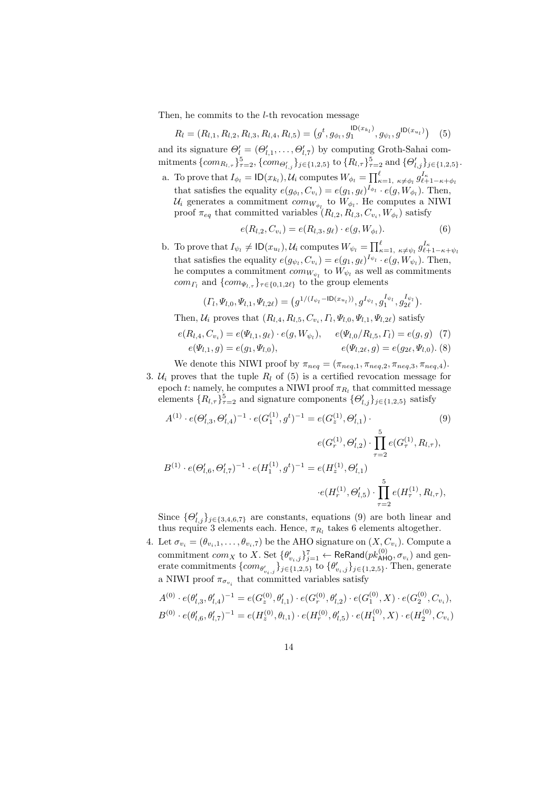Then, he commits to the l-th revocation message

$$
R_l = (R_{l,1}, R_{l,2}, R_{l,3}, R_{l,4}, R_{l,5}) = (g^t, g_{\phi_l}, g_1^{\mathsf{ID}(x_{k_l})}, g_{\psi_l}, g^{\mathsf{ID}(x_{u_l})}) \quad (5)
$$

and its signature  $\Theta'_{l} = (\Theta'_{l,1}, \ldots, \Theta'_{l,7})$  by computing Groth-Sahai commitments  $\{com_{R_{l,\tau}}\}_{\tau=2}^{5}$ ,  $\{com_{\Theta'_{l,j}}\}_{j\in\{1,2,5\}}$  to  $\{R_{l,\tau}\}_{\tau=2}^{5}$  and  $\{\Theta'_{l,j}\}_{j\in\{1,2,5\}}$ . a. To prove that  $I_{\phi_l} = \textsf{ID}(x_{k_l}), \mathcal{U}_i$  computes  $W_{\phi_l} = \prod_{\kappa=1, \kappa \neq \phi_l}^{\ell} g_{\ell+1-\kappa+\phi_l}^{I_{\kappa}}$ 

that satisfies the equality  $e(g_{\phi_l}, C_{v_i}) = e(g_1, g_\ell)^{I_{\phi_l}} \cdot e(g, W_{\phi_l})$ . Then,  $\mathcal{U}_i$  generates a commitment  $com_{W_{\phi_l}}$  to  $W_{\phi_l}$ . He computes a NIWI proof  $\pi_{eq}$  that committed variables  $(R_{l,2}, R_{l,3}, C_{v_i}, W_{\phi_l})$  satisfy

$$
e(R_{l,2}, C_{v_i}) = e(R_{l,3}, g_\ell) \cdot e(g, W_{\phi_l}). \tag{6}
$$

b. To prove that  $I_{\psi_l} \neq \textsf{ID}(x_{u_l}), \mathcal{U}_i$  computes  $W_{\psi_l} = \prod_{\kappa=1, \kappa \neq \psi_l}^{\ell} g_{\ell+1-\kappa+\psi_l}^{I_{\kappa}}$ that satisfies the equality  $e(g_{\psi_l}, C_{v_i}) = e(g_1, g_{\ell})^{I_{\psi_l}} \cdot e(g, W_{\psi_l})$ . Then, he computes a commitment  $com_{W_{\psi_l}}$  to  $W_{\psi_l}$  as well as commitments com<sub>Γl</sub> and  $\{com_{\Psi_{l,\tau}}\}_{\tau \in \{0,1,2\ell\}}$  to the group elements

$$
(\Gamma_l, \Psi_{l,0}, \Psi_{l,1}, \Psi_{l,2\ell}) = (g^{1/(I_{\psi_l} - \text{ID}(x_{u_l}))}, g^{I_{\psi_l}}, g_1^{I_{\psi_l}}, g_{2\ell}^{I_{\psi_l}}).
$$

Then,  $\mathcal{U}_i$  proves that  $(R_{l,4}, R_{l,5}, C_{v_i}, \Gamma_l, \Psi_{l,0}, \Psi_{l,1}, \Psi_{l,2\ell})$  satisfy

$$
e(R_{l,4}, C_{v_i}) = e(\Psi_{l,1}, g_\ell) \cdot e(g, W_{\psi_l}), \qquad e(\Psi_{l,0}/R_{l,5}, \Gamma_l) = e(g, g) \tag{7}
$$
  

$$
e(\Psi_{l,1}, g) = e(g_1, \Psi_{l,0}), \qquad e(\Psi_{l,2\ell}, g) = e(g_{2\ell}, \Psi_{l,0}).
$$
 (8)

We denote this NIWI proof by  $\pi_{neq} = (\pi_{neq,1}, \pi_{neq,2}, \pi_{neq,3}, \pi_{neq,4}).$ 3.  $U_i$  proves that the tuple  $R_l$  of (5) is a certified revocation message for epoch t: namely, he computes a NIWI proof  $\pi_{R_l}$  that committed message elements  $\{R_{l,\tau}\}_{\tau=2}^{5}$  and signature components  $\{\Theta'_{l,j}\}_{j\in\{1,2,5\}}$  satisfy

$$
A^{(1)} \cdot e(\Theta'_{l,3}, \Theta'_{l,4})^{-1} \cdot e(G_1^{(1)}, g^t)^{-1} = e(G_z^{(1)}, \Theta'_{l,1}) \cdot (9)
$$
  
\n
$$
e(G_r^{(1)}, \Theta'_{l,2}) \cdot \prod_{\tau=2}^5 e(G_\tau^{(1)}, R_{l,\tau}),
$$
  
\n
$$
B^{(1)} \cdot e(\Theta'_{l,6}, \Theta'_{l,7})^{-1} \cdot e(H_1^{(1)}, g^t)^{-1} = e(H_z^{(1)}, \Theta'_{l,1})
$$
  
\n
$$
\cdot e(H_r^{(1)}, \Theta'_{l,5}) \cdot \prod_{\tau=2}^5 e(H_\tau^{(1)}, R_{l,\tau}),
$$
  
\n(9)

Since  $\{\Theta'_{l,j}\}_{j\in\{3,4,6,7\}}$  are constants, equations (9) are both linear and thus require 3 elements each. Hence,  $\pi_{R_l}$  takes 6 elements altogether.

4. Let  $\sigma_{v_i} = (\theta_{v_i,1}, \ldots, \theta_{v_i,7})$  be the AHO signature on  $(X, C_{v_i})$ . Compute a commitment  $com_X$  to  $X.$  Set  $\{\theta'_{v_i,j}\}_{j=1}^7 \leftarrow \mathsf{ReRand}(pk_{\mathsf{AHO}}^{(0)}, \sigma_{v_i})$  and generate commitments  $\{com_{\theta'_{v_i,j}}\}_{j\in\{1,2,5\}}$  to  $\{\theta'_{v_i,j}\}_{j\in\{1,2,5\}}$ . Then, generate a NIWI proof  $\pi_{\sigma_{v_i}}$  that committed variables satisfy

$$
A^{(0)} \cdot e(\theta'_{l,3}, \theta'_{l,4})^{-1} = e(G_z^{(0)}, \theta'_{l,1}) \cdot e(G_r^{(0)}, \theta'_{l,2}) \cdot e(G_1^{(0)}, X) \cdot e(G_2^{(0)}, C_{v_i}),
$$
  

$$
B^{(0)} \cdot e(\theta'_{l,6}, \theta'_{l,7})^{-1} = e(H_z^{(0)}, \theta_{l,1}) \cdot e(H_r^{(0)}, \theta'_{l,5}) \cdot e(H_1^{(0)}, X) \cdot e(H_2^{(0)}, C_{v_i})
$$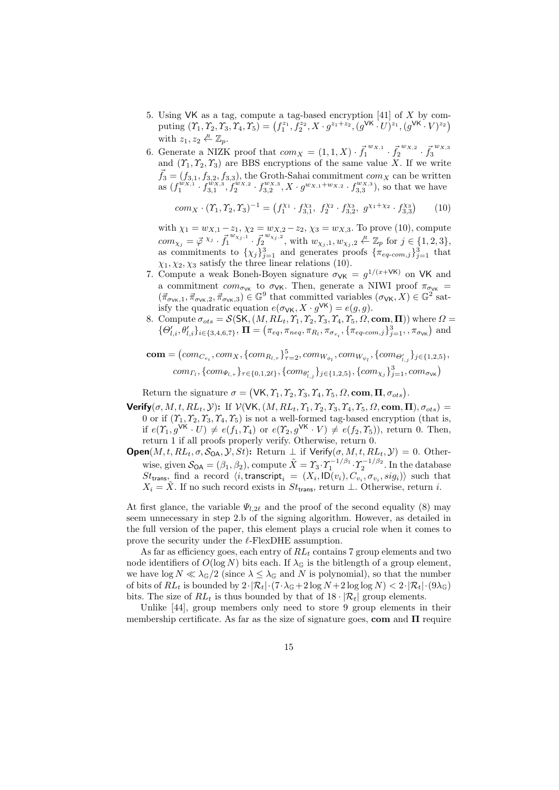- 5. Using VK as a tag, compute a tag-based encryption [41] of X by com- $\text{puting } (\varUpsilon_1,\varUpsilon_2,\varUpsilon_3,\varUpsilon_4,\varUpsilon_5) = \left( f_1^{z_1}, f_2^{z_2}, X \cdot g^{z_1+z_2}, (g^{\text{VK }} \cdot U)^{z_1}, (g^{\text{VK }} \cdot V)^{z_2} \right)$ with  $z_1, z_2 \stackrel{R}{\leftarrow} \mathbb{Z}_n$ .
- 6. Generate a NIZK proof that  $com_X = (1, 1, X) \cdot \vec{f}_1^{w_{X,1}} \cdot \vec{f}_2^{w_{X,2}} \cdot \vec{f}_3^{w_{X,3}}$ and  $(\Upsilon_1, \Upsilon_2, \Upsilon_3)$  are BBS encryptions of the same value X. If we write  $\vec{f}_3 = (f_{3,1}, f_{3,2}, f_{3,3}),$  the Groth-Sahai commitment  $com_X$  can be written as  $(f_1^{w_{X,1}} \cdot f_{3,1}^{w_{X,3}}, f_2^{w_{X,2}} \cdot f_{3,2}^{w_{X,3}}, X \cdot g_{x,1} + w_{x,2} \cdot f_{3,3}^{w_{X,3}})$ , so that we have

$$
com_X \cdot (T_1, T_2, T_3)^{-1} = (f_1^{\chi_1} \cdot f_{3,1}^{\chi_3}, f_2^{\chi_2} \cdot f_{3,2}^{\chi_3}, g^{\chi_1 + \chi_2} \cdot f_{3,3}^{\chi_3}) \tag{10}
$$

with  $\chi_1 = w_{X,1} - z_1, \chi_2 = w_{X,2} - z_2, \chi_3 = w_{X,3}$ . To prove (10), compute  $com_{\chi_j} = \vec{\varphi}^{ \chi_j} \cdot \vec{f_1}^{ w_{\chi_j,1} } \cdot \vec{f_2}^{ w_{\chi_j,2} },$  with  $w_{\chi_j,1}, w_{\chi_j,2} \stackrel{R}{\leftarrow} \mathbb{Z}_p$  for  $j \in \{1,2,3\},$ as commitments to  $\{\chi_j\}_{j=1}^3$  and generates proofs  $\{\pi_{eq\text{-}com,j}\}_{j=1}^3$  that  $\chi_1, \chi_2, \chi_3$  satisfy the three linear relations (10).

- 7. Compute a weak Boneh-Boyen signature  $\sigma_{VK} = g^{1/(x+VK)}$  on VK and a commitment  $com_{\sigma_{VK}}$  to  $\sigma_{VK}$ . Then, generate a NIWI proof  $\pi_{\sigma_{VK}}$  =  $(\vec{\pi}_{\sigma_{\mathsf{VK}},1}, \vec{\pi}_{\sigma_{\mathsf{VK}},2}, \vec{\pi}_{\sigma_{\mathsf{VK}},3}) \in \mathbb{G}^9$  that committed variables  $(\sigma_{\mathsf{VK}}, X) \in \mathbb{G}^2$  satisfy the quadratic equation  $e(\sigma_{\mathsf{VK}}, X \cdot g^{\mathsf{VK}}) = e(g, g)$ .
- 8. Compute  $\sigma_{ots} = \mathcal{S}(SK, (M, RL_t, \Upsilon_1, \Upsilon_2, \Upsilon_3, \Upsilon_4, \Upsilon_5, \Omega, \textbf{com}, \Pi))$  where  $\Omega =$  $\{\Theta'_{l,i}, \theta'_{l,i}\}_{i\in\{3,4,6,7\}}, \, \Pi = \left(\pi_{eq}, \pi_{neq}, \pi_{R_l}, \pi_{\sigma_{v_i}}, \{\pi_{eq\text{-}com},j\}_{j=1}^3, \pi_{\sigma_{\mathsf{VK}}}\right)$  and

$$
\mathbf{com} = (com_{C_{v_i}}, com_X, \{com_{R_{l,\tau}}\}_{\tau=2}^5, com_{W_{\phi_l}}, com_{W_{\psi_l}}, \{com_{\Theta'_{l,j}}\}_{j \in \{1,2,5\}},\
$$

$$
com_{\Gamma_l}, \{com_{\Psi_{l,\tau}}\}_{\tau \in \{0,1,2\ell\}}, \{com_{\theta'_{l,j}}\}_{j \in \{1,2,5\}}, \{com_{\chi_j}\}_{j=1}^3, com_{\sigma_{\mathsf{VK}}})
$$

Return the signature  $\sigma = (\forall K, \varUpsilon_1, \varUpsilon_2, \varUpsilon_3, \varUpsilon_4, \varUpsilon_5, \varOmega, \textbf{com}, \Pi, \sigma_{ots}).$ 

- Verify( $\sigma$ , M, t, RL<sub>t</sub>, Y): If  $V(WK, (M, RL_t, \Upsilon_1, \Upsilon_2, \Upsilon_3, \Upsilon_4, \Upsilon_5, \Omega, \text{com}, \Pi), \sigma_{ots})$ 0 or if  $(\Upsilon_1, \Upsilon_2, \Upsilon_3, \Upsilon_4, \Upsilon_5)$  is not a well-formed tag-based encryption (that is, if  $e(\Upsilon_1, g^{\mathsf{VK}} \cdot U) \neq e(f_1, \Upsilon_4)$  or  $e(\Upsilon_2, g^{\mathsf{VK}} \cdot V) \neq e(f_2, \Upsilon_5)$ ), return 0. Then, return 1 if all proofs properly verify. Otherwise, return 0.
- **Open** $(M, t, RL_t, \sigma, S_{OA}, \mathcal{Y}, St)$ : Return  $\perp$  if Verify $(\sigma, M, t, RL_t, \mathcal{Y}) = 0$ . Otherwise, given  $S_{OA} = (\beta_1, \beta_2)$ , compute  $\tilde{X} = \gamma_3 \cdot \gamma_1^{-1/\beta_1} \cdot \gamma_2^{-1/\beta_2}$ . In the database  $St_{trans}$  find a record  $\langle i,$  transcript $_i = (X_i, \textsf{ID}(v_i), C_{v_i}, \sigma_{v_i}, sig_i) \rangle$  such that  $X_i = \tilde{X}$ . If no such record exists in  $St_{trans}$ , return ⊥. Otherwise, return i.

At first glance, the variable  $\Psi_{l,2\ell}$  and the proof of the second equality (8) may seem unnecessary in step 2.b of the signing algorithm. However, as detailed in the full version of the paper, this element plays a crucial role when it comes to prove the security under the  $\ell$ -FlexDHE assumption.

As far as efficiency goes, each entry of  $RL_t$  contains 7 group elements and two node identifiers of  $O(\log N)$  bits each. If  $\lambda_{\mathbb{G}}$  is the bitlength of a group element, we have  $\log N \ll \lambda_{\mathbb{G}}/2$  (since  $\lambda \leq \lambda_{\mathbb{G}}$  and N is polynomial), so that the number of bits of  $RL_t$  is bounded by  $2 \cdot |\mathcal{R}_t| \cdot (7 \cdot \lambda_{\mathbb{G}} + 2 \log N + 2 \log \log N) < 2 \cdot |\mathcal{R}_t| \cdot (9 \lambda_{\mathbb{G}})$ bits. The size of  $RL_t$  is thus bounded by that of  $18 \cdot |\mathcal{R}_t|$  group elements.

Unlike [44], group members only need to store 9 group elements in their membership certificate. As far as the size of signature goes, com and  $\Pi$  require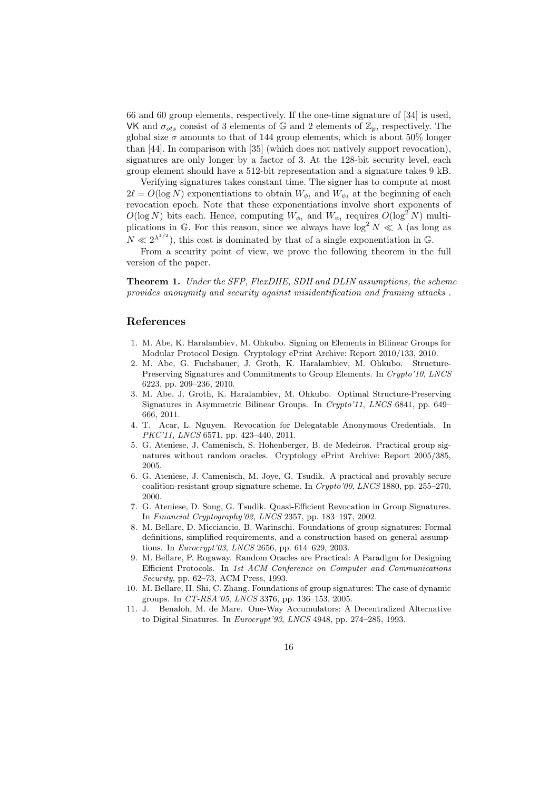66 and 60 group elements, respectively. If the one-time signature of [34] is used, VK and  $\sigma_{ots}$  consist of 3 elements of G and 2 elements of  $\mathbb{Z}_p$ , respectively. The global size  $\sigma$  amounts to that of 144 group elements, which is about 50% longer than [44]. In comparison with [35] (which does not natively support revocation), signatures are only longer by a factor of 3. At the 128-bit security level, each group element should have a 512-bit representation and a signature takes 9 kB.

Verifying signatures takes constant time. The signer has to compute at most  $2\ell = O(\log N)$  exponentiations to obtain  $W_{\phi_l}$  and  $W_{\psi_l}$  at the beginning of each revocation epoch. Note that these exponentiations involve short exponents of  $O(\log N)$  bits each. Hence, computing  $W_{\phi_l}$  and  $W_{\psi_l}$  requires  $O(\log^2 N)$  multiplications in G. For this reason, since we always have  $\log^2 N \ll \lambda$  (as long as  $N \ll 2^{\lambda^{1/2}}$ , this cost is dominated by that of a single exponentiation in G.

From a security point of view, we prove the following theorem in the full version of the paper.

Theorem 1. Under the SFP, FlexDHE, SDH and DLIN assumptions, the scheme provides anonymity and security against misidentification and framing attacks .

## References

- 1. M. Abe, K. Haralambiev, M. Ohkubo. Signing on Elements in Bilinear Groups for Modular Protocol Design. Cryptology ePrint Archive: Report 2010/133, 2010.
- 2. M. Abe, G. Fuchsbauer, J. Groth, K. Haralambiev, M. Ohkubo. Structure-Preserving Signatures and Commitments to Group Elements. In Crypto'10, LNCS 6223, pp. 209–236, 2010.
- 3. M. Abe, J. Groth, K. Haralambiev, M. Ohkubo. Optimal Structure-Preserving Signatures in Asymmetric Bilinear Groups. In Crypto'11, LNCS 6841, pp. 649– 666, 2011.
- 4. T. Acar, L. Nguyen. Revocation for Delegatable Anonymous Credentials. In PKC'11, LNCS 6571, pp. 423-440, 2011.
- 5. G. Ateniese, J. Camenisch, S. Hohenberger, B. de Medeiros. Practical group signatures without random oracles. Cryptology ePrint Archive: Report 2005/385, 2005.
- 6. G. Ateniese, J. Camenisch, M. Joye, G. Tsudik. A practical and provably secure coalition-resistant group signature scheme. In Crypto'00, LNCS 1880, pp. 255–270, 2000.
- 7. G. Ateniese, D. Song, G. Tsudik. Quasi-Efficient Revocation in Group Signatures. In Financial Cryptography'02, LNCS 2357, pp. 183–197, 2002.
- 8. M. Bellare, D. Micciancio, B. Warinschi. Foundations of group signatures: Formal definitions, simplified requirements, and a construction based on general assumptions. In Eurocrypt'03, LNCS 2656, pp. 614–629, 2003.
- 9. M. Bellare, P. Rogaway. Random Oracles are Practical: A Paradigm for Designing Efficient Protocols. In 1st ACM Conference on Computer and Communications Security, pp. 62–73, ACM Press, 1993.
- 10. M. Bellare, H. Shi, C. Zhang. Foundations of group signatures: The case of dynamic groups. In CT-RSA'05, LNCS 3376, pp. 136–153, 2005.
- 11. J. Benaloh, M. de Mare. One-Way Accumulators: A Decentralized Alternative to Digital Sinatures. In Eurocrypt'93, LNCS 4948, pp. 274–285, 1993.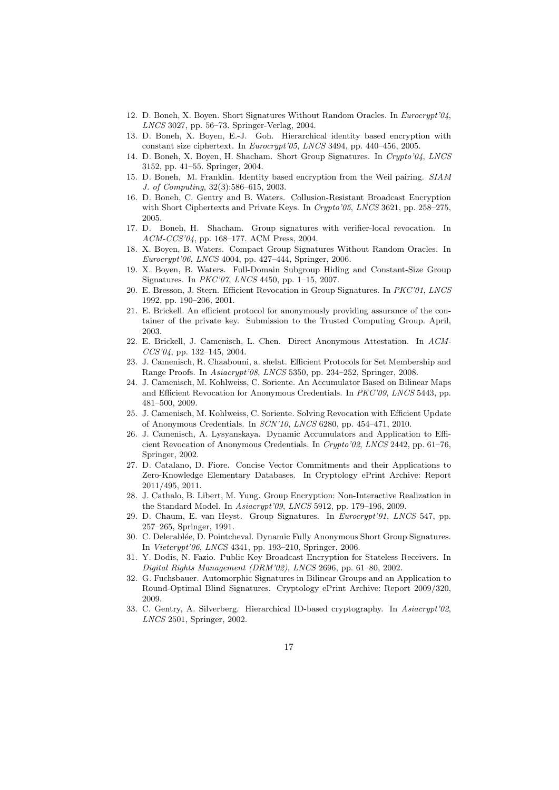- 12. D. Boneh, X. Boyen. Short Signatures Without Random Oracles. In Eurocrypt'04, LNCS 3027, pp. 56–73. Springer-Verlag, 2004.
- 13. D. Boneh, X. Boyen, E.-J. Goh. Hierarchical identity based encryption with constant size ciphertext. In Eurocrypt'05, LNCS 3494, pp. 440–456, 2005.
- 14. D. Boneh, X. Boyen, H. Shacham. Short Group Signatures. In Crypto'04, LNCS 3152, pp. 41–55. Springer, 2004.
- 15. D. Boneh, M. Franklin. Identity based encryption from the Weil pairing. SIAM J. of Computing, 32(3):586–615, 2003.
- 16. D. Boneh, C. Gentry and B. Waters. Collusion-Resistant Broadcast Encryption with Short Ciphertexts and Private Keys. In Crypto'05, LNCS 3621, pp. 258–275, 2005.
- 17. D. Boneh, H. Shacham. Group signatures with verifier-local revocation. In ACM-CCS'04, pp. 168–177. ACM Press, 2004.
- 18. X. Boyen, B. Waters. Compact Group Signatures Without Random Oracles. In Eurocrypt'06, LNCS 4004, pp. 427–444, Springer, 2006.
- 19. X. Boyen, B. Waters. Full-Domain Subgroup Hiding and Constant-Size Group Signatures. In PKC'07, LNCS 4450, pp. 1–15, 2007.
- 20. E. Bresson, J. Stern. Efficient Revocation in Group Signatures. In PKC'01, LNCS 1992, pp. 190–206, 2001.
- 21. E. Brickell. An efficient protocol for anonymously providing assurance of the container of the private key. Submission to the Trusted Computing Group. April, 2003.
- 22. E. Brickell, J. Camenisch, L. Chen. Direct Anonymous Attestation. In ACM- $CCS'04$ , pp. 132-145, 2004.
- 23. J. Camenisch, R. Chaabouni, a. shelat. Efficient Protocols for Set Membership and Range Proofs. In Asiacrypt'08, LNCS 5350, pp. 234–252, Springer, 2008.
- 24. J. Camenisch, M. Kohlweiss, C. Soriente. An Accumulator Based on Bilinear Maps and Efficient Revocation for Anonymous Credentials. In PKC'09, LNCS 5443, pp. 481–500, 2009.
- 25. J. Camenisch, M. Kohlweiss, C. Soriente. Solving Revocation with Efficient Update of Anonymous Credentials. In SCN'10, LNCS 6280, pp. 454–471, 2010.
- 26. J. Camenisch, A. Lysyanskaya. Dynamic Accumulators and Application to Efficient Revocation of Anonymous Credentials. In Crypto'02, LNCS 2442, pp. 61–76, Springer, 2002.
- 27. D. Catalano, D. Fiore. Concise Vector Commitments and their Applications to Zero-Knowledge Elementary Databases. In Cryptology ePrint Archive: Report 2011/495, 2011.
- 28. J. Cathalo, B. Libert, M. Yung. Group Encryption: Non-Interactive Realization in the Standard Model. In Asiacrypt'09, LNCS 5912, pp. 179–196, 2009.
- 29. D. Chaum, E. van Heyst. Group Signatures. In Eurocrypt'91, LNCS 547, pp. 257–265, Springer, 1991.
- 30. C. Delerabl´ee, D. Pointcheval. Dynamic Fully Anonymous Short Group Signatures. In Vietcrypt'06, LNCS 4341, pp. 193–210, Springer, 2006.
- 31. Y. Dodis, N. Fazio. Public Key Broadcast Encryption for Stateless Receivers. In Digital Rights Management (DRM'02), LNCS 2696, pp. 61–80, 2002.
- 32. G. Fuchsbauer. Automorphic Signatures in Bilinear Groups and an Application to Round-Optimal Blind Signatures. Cryptology ePrint Archive: Report 2009/320, 2009.
- 33. C. Gentry, A. Silverberg. Hierarchical ID-based cryptography. In Asiacrypt'02, LNCS 2501, Springer, 2002.